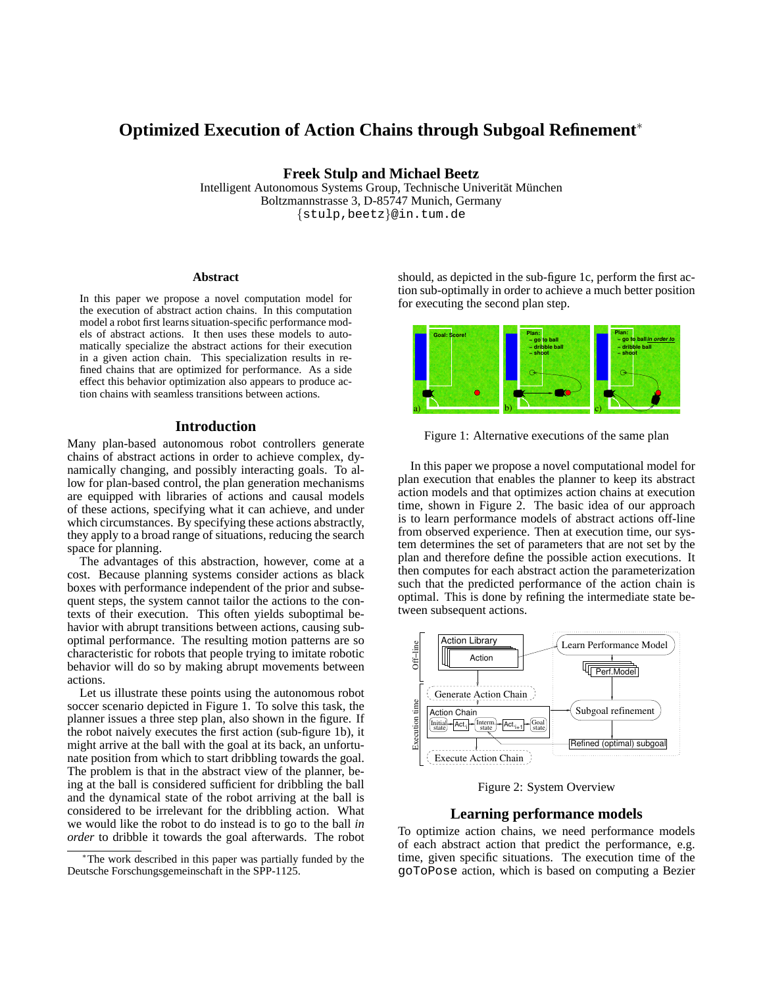# **Optimized Execution of Action Chains through Subgoal Refinement**<sup>∗</sup>

**Freek Stulp and Michael Beetz**

Intelligent Autonomous Systems Group, Technische Univerität München Boltzmannstrasse 3, D-85747 Munich, Germany {stulp,beetz}@in.tum.de

#### **Abstract**

In this paper we propose a novel computation model for the execution of abstract action chains. In this computation model a robot first learns situation-specific performance models of abstract actions. It then uses these models to automatically specialize the abstract actions for their execution in a given action chain. This specialization results in refined chains that are optimized for performance. As a side effect this behavior optimization also appears to produce action chains with seamless transitions between actions.

#### **Introduction**

Many plan-based autonomous robot controllers generate chains of abstract actions in order to achieve complex, dynamically changing, and possibly interacting goals. To allow for plan-based control, the plan generation mechanisms are equipped with libraries of actions and causal models of these actions, specifying what it can achieve, and under which circumstances. By specifying these actions abstractly, they apply to a broad range of situations, reducing the search space for planning.

The advantages of this abstraction, however, come at a cost. Because planning systems consider actions as black boxes with performance independent of the prior and subsequent steps, the system cannot tailor the actions to the contexts of their execution. This often yields suboptimal behavior with abrupt transitions between actions, causing suboptimal performance. The resulting motion patterns are so characteristic for robots that people trying to imitate robotic behavior will do so by making abrupt movements between actions.

Let us illustrate these points using the autonomous robot soccer scenario depicted in Figure 1. To solve this task, the planner issues a three step plan, also shown in the figure. If the robot naively executes the first action (sub-figure 1b), it might arrive at the ball with the goal at its back, an unfortunate position from which to start dribbling towards the goal. The problem is that in the abstract view of the planner, being at the ball is considered sufficient for dribbling the ball and the dynamical state of the robot arriving at the ball is considered to be irrelevant for the dribbling action. What we would like the robot to do instead is to go to the ball *in order* to dribble it towards the goal afterwards. The robot

should, as depicted in the sub-figure 1c, perform the first action sub-optimally in order to achieve a much better position for executing the second plan step.



Figure 1: Alternative executions of the same plan

In this paper we propose a novel computational model for plan execution that enables the planner to keep its abstract action models and that optimizes action chains at execution time, shown in Figure 2. The basic idea of our approach is to learn performance models of abstract actions off-line from observed experience. Then at execution time, our system determines the set of parameters that are not set by the plan and therefore define the possible action executions. It then computes for each abstract action the parameterization such that the predicted performance of the action chain is optimal. This is done by refining the intermediate state between subsequent actions.



Figure 2: System Overview

#### **Learning performance models**

To optimize action chains, we need performance models of each abstract action that predict the performance, e.g. time, given specific situations. The execution time of the goToPose action, which is based on computing a Bezier

<sup>∗</sup>The work described in this paper was partially funded by the Deutsche Forschungsgemeinschaft in the SPP-1125.